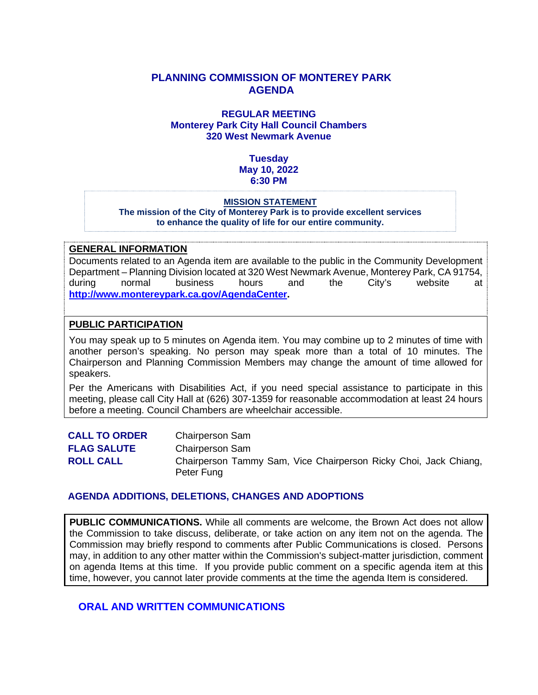## **PLANNING COMMISSION OF MONTEREY PARK AGENDA**

#### **REGULAR MEETING Monterey Park City Hall Council Chambers 320 West Newmark Avenue**

## **Tuesday May 10, 2022 6:30 PM**

#### **MISSION STATEMENT The mission of the City of Monterey Park is to provide excellent services to enhance the quality of life for our entire community.**

#### **GENERAL INFORMATION**

Documents related to an Agenda item are available to the public in the Community Development Department – Planning Division located at 320 West Newmark Avenue, Monterey Park, CA 91754, during normal business hours and the City's website at **[http://www.montereypark.ca.gov/AgendaCenter.](http://www.montereypark.ca.gov/AgendaCenter)** 

#### **PUBLIC PARTICIPATION**

You may speak up to 5 minutes on Agenda item. You may combine up to 2 minutes of time with another person's speaking. No person may speak more than a total of 10 minutes. The Chairperson and Planning Commission Members may change the amount of time allowed for speakers.

Per the Americans with Disabilities Act, if you need special assistance to participate in this meeting, please call City Hall at (626) 307-1359 for reasonable accommodation at least 24 hours before a meeting. Council Chambers are wheelchair accessible.

| <b>CALL TO ORDER</b> | <b>Chairperson Sam</b>                                                         |
|----------------------|--------------------------------------------------------------------------------|
| <b>FLAG SALUTE</b>   | <b>Chairperson Sam</b>                                                         |
| <b>ROLL CALL</b>     | Chairperson Tammy Sam, Vice Chairperson Ricky Choi, Jack Chiang,<br>Peter Fung |

#### **AGENDA ADDITIONS, DELETIONS, CHANGES AND ADOPTIONS**

**PUBLIC COMMUNICATIONS.** While all comments are welcome, the Brown Act does not allow the Commission to take discuss, deliberate, or take action on any item not on the agenda. The Commission may briefly respond to comments after Public Communications is closed. Persons may, in addition to any other matter within the Commission's subject-matter jurisdiction, comment on agenda Items at this time. If you provide public comment on a specific agenda item at this time, however, you cannot later provide comments at the time the agenda Item is considered.

## **ORAL AND WRITTEN COMMUNICATIONS**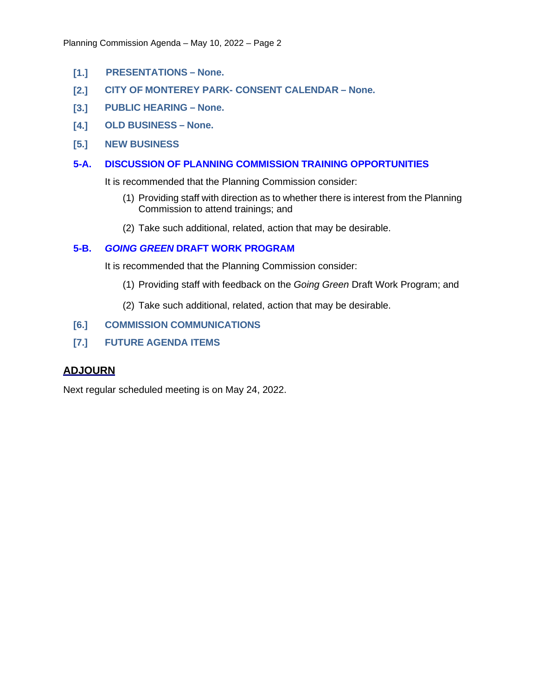- **[1.] PRESENTATIONS – None.**
- **[2.] CITY OF MONTEREY PARK- CONSENT CALENDAR – None.**
- **[3.] PUBLIC HEARING – None.**
- **[4.] OLD BUSINESS – None.**
- **[5.] NEW BUSINESS**
- **5-A. DISCUSSION OF PLANNING COMMISSION TRAINING OPPORTUNITIES**

It is recommended that the Planning Commission consider:

- (1) Providing staff with direction as to whether there is interest from the Planning Commission to attend trainings; and
- (2) Take such additional, related, action that may be desirable.

#### **5-B.** *GOING GREEN* **DRAFT WORK PROGRAM**

It is recommended that the Planning Commission consider:

- (1) Providing staff with feedback on the *Going Green* Draft Work Program; and
- (2) Take such additional, related, action that may be desirable.
- **[6.] COMMISSION COMMUNICATIONS**
- **[7.] FUTURE AGENDA ITEMS**

#### **ADJOURN**

Next regular scheduled meeting is on May 24, 2022.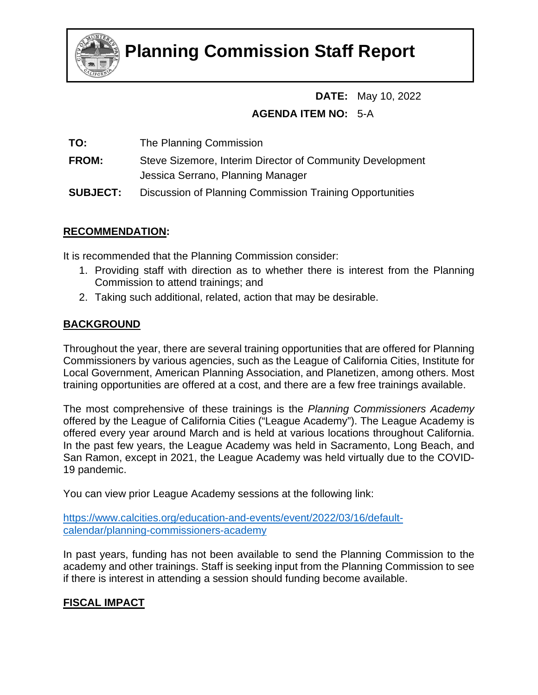

# **Planning Commission Staff Report**

# **DATE:** May 10, 2022 **AGENDA ITEM NO:** 5-A

**TO:** The Planning Commission

**FROM:** Steve Sizemore, Interim Director of Community Development Jessica Serrano, Planning Manager

**SUBJECT:** Discussion of Planning Commission Training Opportunities

# **RECOMMENDATION:**

It is recommended that the Planning Commission consider:

- 1. Providing staff with direction as to whether there is interest from the Planning Commission to attend trainings; and
- 2. Taking such additional, related, action that may be desirable.

# **BACKGROUND**

Throughout the year, there are several training opportunities that are offered for Planning Commissioners by various agencies, such as the League of California Cities, Institute for Local Government, American Planning Association, and Planetizen, among others. Most training opportunities are offered at a cost, and there are a few free trainings available.

The most comprehensive of these trainings is the *Planning Commissioners Academy* offered by the League of California Cities ("League Academy"). The League Academy is offered every year around March and is held at various locations throughout California. In the past few years, the League Academy was held in Sacramento, Long Beach, and San Ramon, except in 2021, the League Academy was held virtually due to the COVID-19 pandemic.

You can view prior League Academy sessions at the following link:

[https://www.calcities.org/education-and-events/event/2022/03/16/default](https://www.calcities.org/education-and-events/event/2022/03/16/default-calendar/planning-commissioners-academy)[calendar/planning-commissioners-academy](https://www.calcities.org/education-and-events/event/2022/03/16/default-calendar/planning-commissioners-academy)

In past years, funding has not been available to send the Planning Commission to the academy and other trainings. Staff is seeking input from the Planning Commission to see if there is interest in attending a session should funding become available.

# **FISCAL IMPACT**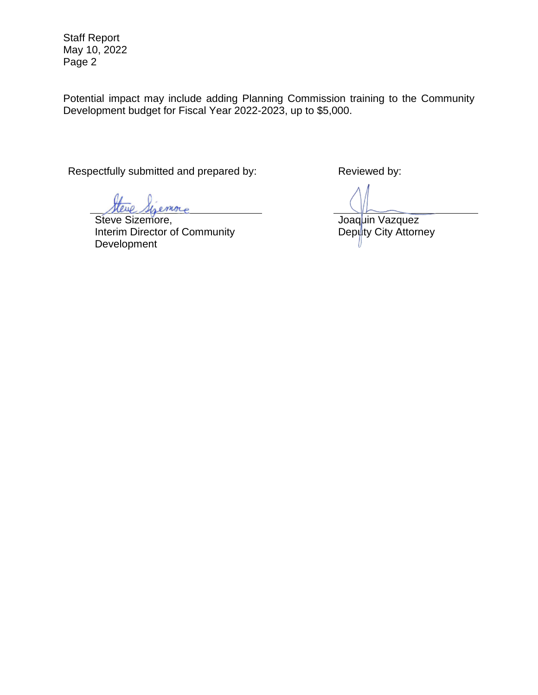Staff Report May 10, 2022 Page 2

Potential impact may include adding Planning Commission training to the Community Development budget for Fiscal Year 2022-2023, up to \$5,000.

Respectfully submitted and prepared by: Reviewed by:

more

Steve Sizemore, Interim Director of Community Development

Joaquin Vazquez Deputy City Attorney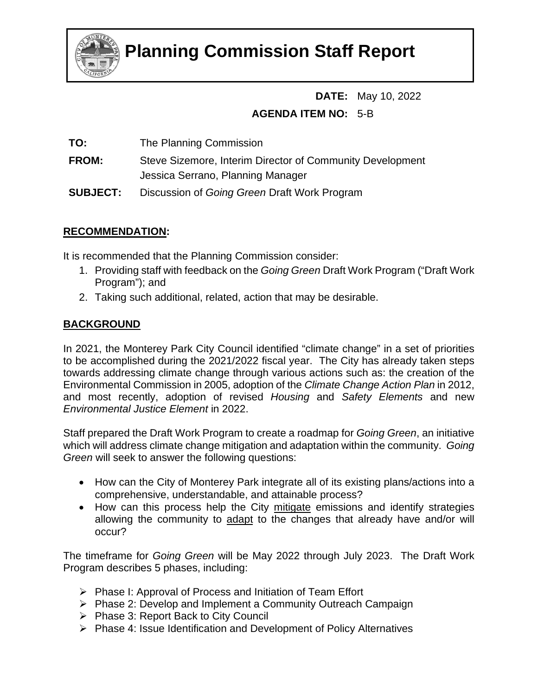

# **Planning Commission Staff Report**

# **DATE:** May 10, 2022 **AGENDA ITEM NO:** 5-B

**TO:** The Planning Commission

**FROM:** Steve Sizemore, Interim Director of Community Development Jessica Serrano, Planning Manager

**SUBJECT:** Discussion of *Going Green* Draft Work Program

# **RECOMMENDATION:**

It is recommended that the Planning Commission consider:

- 1. Providing staff with feedback on the *Going Green* Draft Work Program ("Draft Work Program"); and
- 2. Taking such additional, related, action that may be desirable.

# **BACKGROUND**

In 2021, the Monterey Park City Council identified "climate change" in a set of priorities to be accomplished during the 2021/2022 fiscal year. The City has already taken steps towards addressing climate change through various actions such as: the creation of the Environmental Commission in 2005, adoption of the *Climate Change Action Plan* in 2012, and most recently, adoption of revised *Housing* and *Safety Elements* and new *Environmental Justice Element* in 2022.

Staff prepared the Draft Work Program to create a roadmap for *Going Green*, an initiative which will address climate change mitigation and adaptation within the community. *Going Green* will seek to answer the following questions:

- How can the City of Monterey Park integrate all of its existing plans/actions into a comprehensive, understandable, and attainable process?
- How can this process help the City mitigate emissions and identify strategies allowing the community to adapt to the changes that already have and/or will occur?

The timeframe for *Going Green* will be May 2022 through July 2023. The Draft Work Program describes 5 phases, including:

- $\triangleright$  Phase I: Approval of Process and Initiation of Team Effort
- ▶ Phase 2: Develop and Implement a Community Outreach Campaign
- $\triangleright$  Phase 3: Report Back to City Council
- $\triangleright$  Phase 4: Issue Identification and Development of Policy Alternatives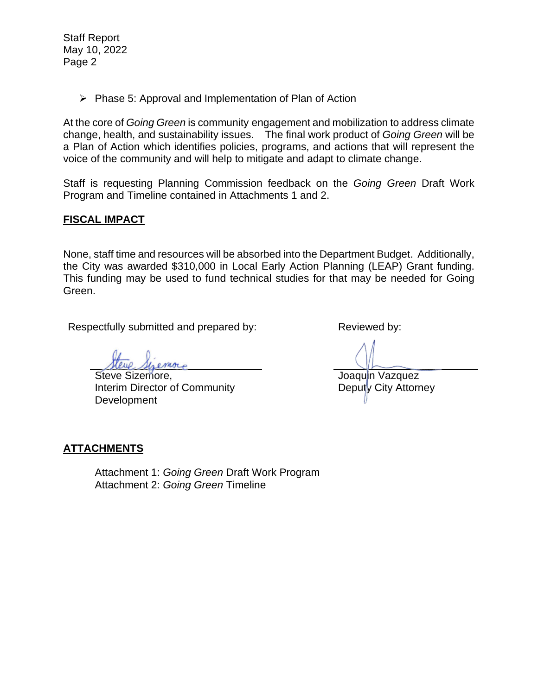Staff Report May 10, 2022 Page 2

 $\triangleright$  Phase 5: Approval and Implementation of Plan of Action

At the core of *Going Green* is community engagement and mobilization to address climate change, health, and sustainability issues. The final work product of *Going Green* will be a Plan of Action which identifies policies, programs, and actions that will represent the voice of the community and will help to mitigate and adapt to climate change.

Staff is requesting Planning Commission feedback on the *Going Green* Draft Work Program and Timeline contained in Attachments 1 and 2.

## **FISCAL IMPACT**

None, staff time and resources will be absorbed into the Department Budget. Additionally, the City was awarded \$310,000 in Local Early Action Planning (LEAP) Grant funding. This funding may be used to fund technical studies for that may be needed for Going Green.

Respectfully submitted and prepared by: Reviewed by:

more

Steve Sizemore, Interim Director of Community Development

Joaquin Vazquez Deputy City Attorney

## **ATTACHMENTS**

Attachment 1: *Going Green* Draft Work Program Attachment 2: *Going Green* Timeline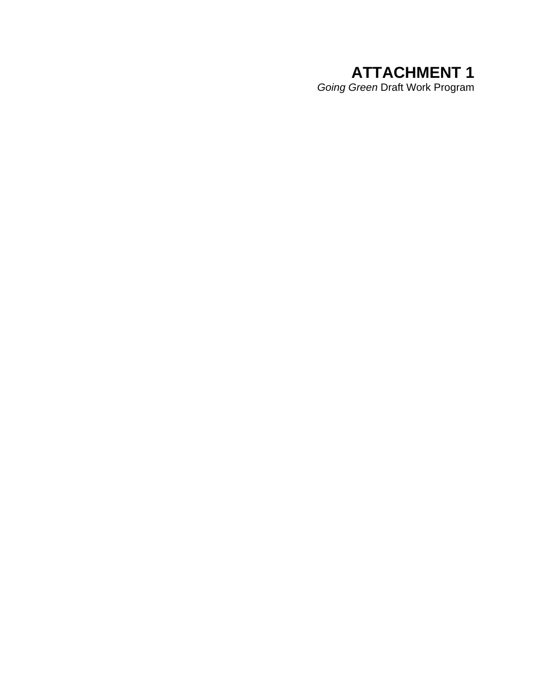# **ATTACHMENT 1**  *Going Green* Draft Work Program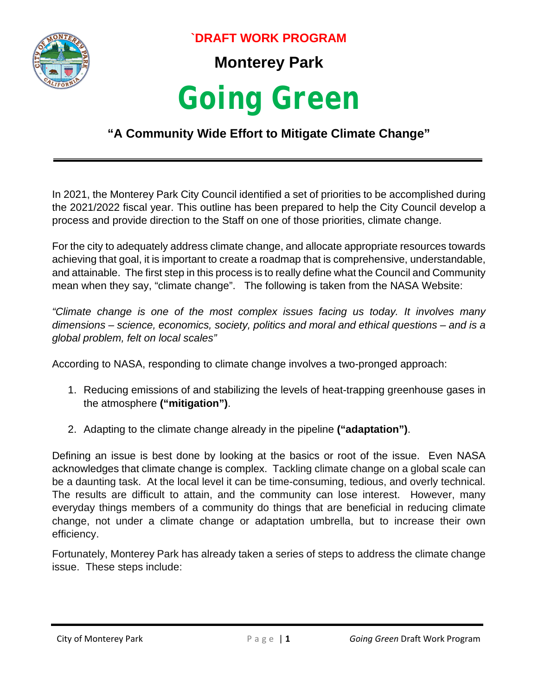

**`DRAFT WORK PROGRAM**

**Monterey Park** 

# *Going Green*

# **"A Community Wide Effort to Mitigate Climate Change"**

In 2021, the Monterey Park City Council identified a set of priorities to be accomplished during the 2021/2022 fiscal year. This outline has been prepared to help the City Council develop a process and provide direction to the Staff on one of those priorities, climate change.

For the city to adequately address climate change, and allocate appropriate resources towards achieving that goal, it is important to create a roadmap that is comprehensive, understandable, and attainable. The first step in this process is to really define what the Council and Community mean when they say, "climate change". The following is taken from the NASA Website:

*"Climate change is one of the most complex issues facing us today. It involves many dimensions – science, economics, society, politics and moral and ethical questions – and is a global problem, felt on local scales"*

According to NASA, responding to climate change involves a two-pronged approach:

- 1. Reducing emissions of and stabilizing the levels of heat-trapping greenhouse gases in the atmosphere **("mitigation")**.
- 2. Adapting to the climate change already in the pipeline **("adaptation")**.

Defining an issue is best done by looking at the basics or root of the issue. Even NASA acknowledges that climate change is complex. Tackling climate change on a global scale can be a daunting task. At the local level it can be time-consuming, tedious, and overly technical. The results are difficult to attain, and the community can lose interest. However, many everyday things members of a community do things that are beneficial in reducing climate change, not under a climate change or adaptation umbrella, but to increase their own efficiency.

Fortunately, Monterey Park has already taken a series of steps to address the climate change issue. These steps include: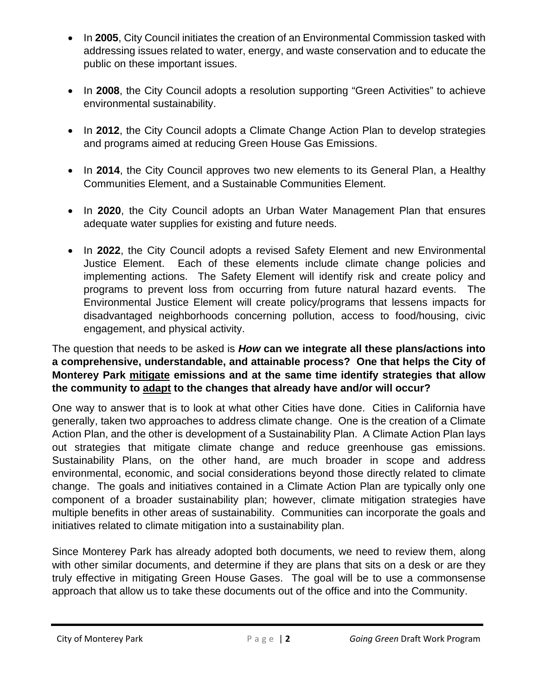- In **2005**, City Council initiates the creation of an Environmental Commission tasked with addressing issues related to water, energy, and waste conservation and to educate the public on these important issues.
- In **2008**, the City Council adopts a resolution supporting "Green Activities" to achieve environmental sustainability.
- In **2012**, the City Council adopts a Climate Change Action Plan to develop strategies and programs aimed at reducing Green House Gas Emissions.
- In **2014**, the City Council approves two new elements to its General Plan, a Healthy Communities Element, and a Sustainable Communities Element.
- In **2020**, the City Council adopts an Urban Water Management Plan that ensures adequate water supplies for existing and future needs.
- In **2022**, the City Council adopts a revised Safety Element and new Environmental Justice Element. Each of these elements include climate change policies and implementing actions. The Safety Element will identify risk and create policy and programs to prevent loss from occurring from future natural hazard events. The Environmental Justice Element will create policy/programs that lessens impacts for disadvantaged neighborhoods concerning pollution, access to food/housing, civic engagement, and physical activity.

# The question that needs to be asked is *How* **can we integrate all these plans/actions into a comprehensive, understandable, and attainable process? One that helps the City of Monterey Park mitigate emissions and at the same time identify strategies that allow the community to adapt to the changes that already have and/or will occur?**

One way to answer that is to look at what other Cities have done. Cities in California have generally, taken two approaches to address climate change. One is the creation of a Climate Action Plan, and the other is development of a Sustainability Plan. A Climate Action Plan lays out strategies that mitigate climate change and reduce greenhouse gas emissions. Sustainability Plans, on the other hand, are much broader in scope and address environmental, economic, and social considerations beyond those directly related to climate change. The goals and initiatives contained in a Climate Action Plan are typically only one component of a broader sustainability plan; however, climate mitigation strategies have multiple benefits in other areas of sustainability. Communities can incorporate the goals and initiatives related to climate mitigation into a sustainability plan.

Since Monterey Park has already adopted both documents, we need to review them, along with other similar documents, and determine if they are plans that sits on a desk or are they truly effective in mitigating Green House Gases. The goal will be to use a commonsense approach that allow us to take these documents out of the office and into the Community.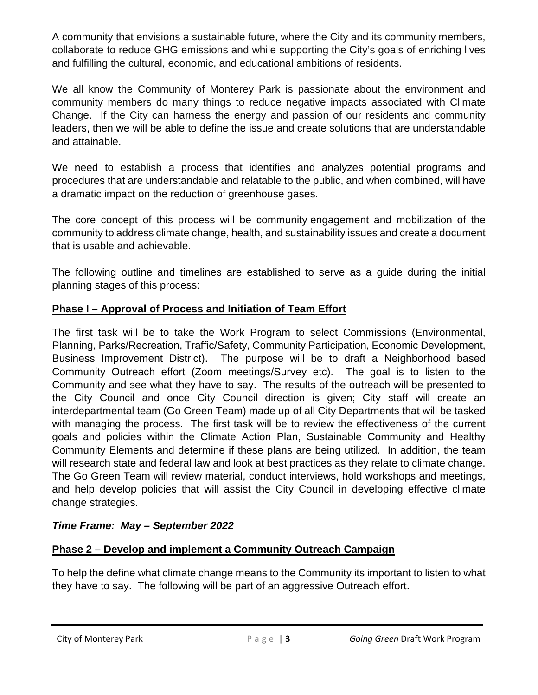A community that envisions a sustainable future, where the City and its community members, collaborate to reduce GHG emissions and while supporting the City's goals of enriching lives and fulfilling the cultural, economic, and educational ambitions of residents.

We all know the Community of Monterey Park is passionate about the environment and community members do many things to reduce negative impacts associated with Climate Change. If the City can harness the energy and passion of our residents and community leaders, then we will be able to define the issue and create solutions that are understandable and attainable.

We need to establish a process that identifies and analyzes potential programs and procedures that are understandable and relatable to the public, and when combined, will have a dramatic impact on the reduction of greenhouse gases.

The core concept of this process will be community engagement and mobilization of the community to address climate change, health, and sustainability issues and create a document that is usable and achievable.

The following outline and timelines are established to serve as a guide during the initial planning stages of this process:

# **Phase I – Approval of Process and Initiation of Team Effort**

The first task will be to take the Work Program to select Commissions (Environmental, Planning, Parks/Recreation, Traffic/Safety, Community Participation, Economic Development, Business Improvement District). The purpose will be to draft a Neighborhood based Community Outreach effort (Zoom meetings/Survey etc). The goal is to listen to the Community and see what they have to say. The results of the outreach will be presented to the City Council and once City Council direction is given; City staff will create an interdepartmental team (Go Green Team) made up of all City Departments that will be tasked with managing the process. The first task will be to review the effectiveness of the current goals and policies within the Climate Action Plan, Sustainable Community and Healthy Community Elements and determine if these plans are being utilized. In addition, the team will research state and federal law and look at best practices as they relate to climate change. The Go Green Team will review material, conduct interviews, hold workshops and meetings, and help develop policies that will assist the City Council in developing effective climate change strategies.

# *Time Frame: May – September 2022*

# **Phase 2 – Develop and implement a Community Outreach Campaign**

To help the define what climate change means to the Community its important to listen to what they have to say. The following will be part of an aggressive Outreach effort.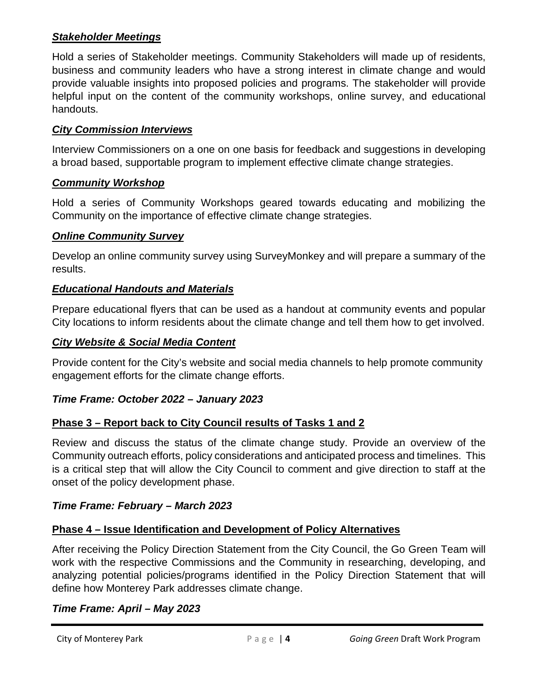## *Stakeholder Meetings*

Hold a series of Stakeholder meetings. Community Stakeholders will made up of residents, business and community leaders who have a strong interest in climate change and would provide valuable insights into proposed policies and programs. The stakeholder will provide helpful input on the content of the community workshops, online survey, and educational handouts.

## *City Commission Interviews*

Interview Commissioners on a one on one basis for feedback and suggestions in developing a broad based, supportable program to implement effective climate change strategies.

# *Community Workshop*

Hold a series of Community Workshops geared towards educating and mobilizing the Community on the importance of effective climate change strategies.

## *Online Community Survey*

Develop an online community survey using SurveyMonkey and will prepare a summary of the results.

# *Educational Handouts and Materials*

Prepare educational flyers that can be used as a handout at community events and popular City locations to inform residents about the climate change and tell them how to get involved.

## *City Website & Social Media Content*

Provide content for the City's website and social media channels to help promote community engagement efforts for the climate change efforts.

# *Time Frame: October 2022 – January 2023*

# **Phase 3 – Report back to City Council results of Tasks 1 and 2**

Review and discuss the status of the climate change study. Provide an overview of the Community outreach efforts, policy considerations and anticipated process and timelines. This is a critical step that will allow the City Council to comment and give direction to staff at the onset of the policy development phase.

## *Time Frame: February – March 2023*

## **Phase 4 – Issue Identification and Development of Policy Alternatives**

After receiving the Policy Direction Statement from the City Council, the Go Green Team will work with the respective Commissions and the Community in researching, developing, and analyzing potential policies/programs identified in the Policy Direction Statement that will define how Monterey Park addresses climate change.

## *Time Frame: April – May 2023*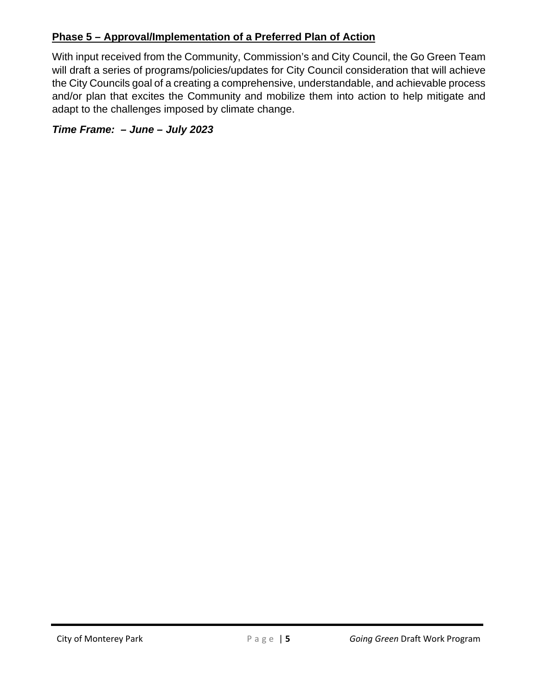# **Phase 5 – Approval/Implementation of a Preferred Plan of Action**

With input received from the Community, Commission's and City Council, the Go Green Team will draft a series of programs/policies/updates for City Council consideration that will achieve the City Councils goal of a creating a comprehensive, understandable, and achievable process and/or plan that excites the Community and mobilize them into action to help mitigate and adapt to the challenges imposed by climate change.

*Time Frame: – June – July 2023*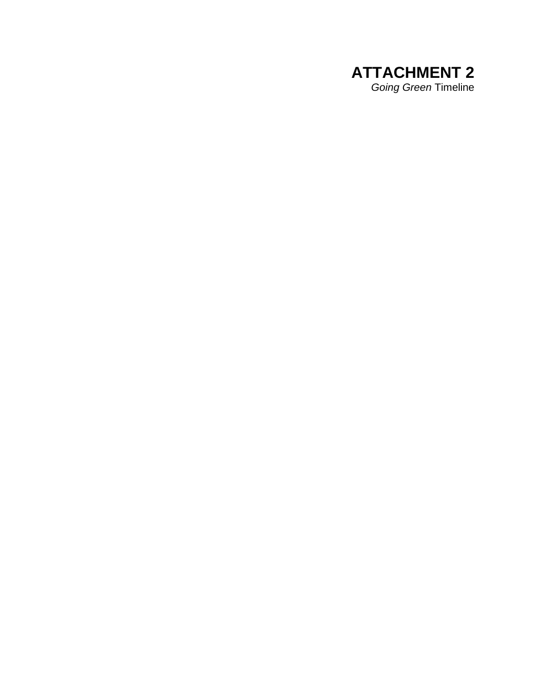# **ATTACHMENT 2** *Going Green* Timeline